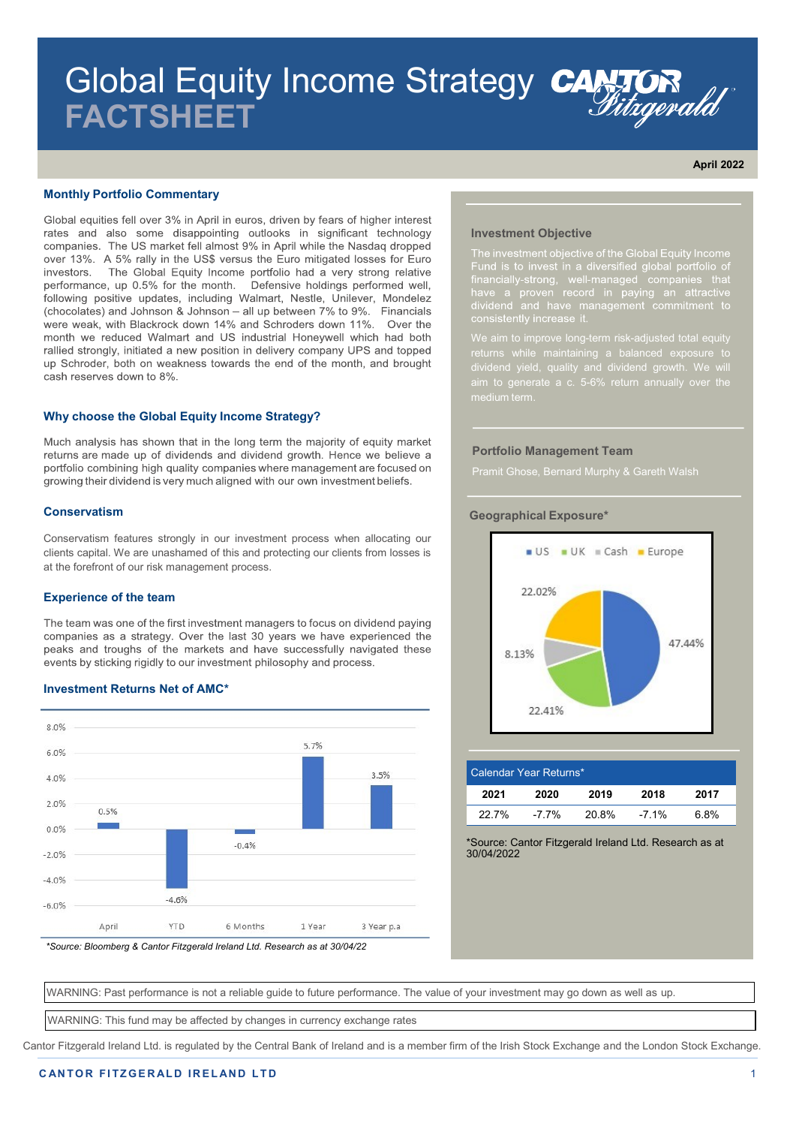# Global Equity Income Strategy CANTOR **FACTSHEET**

**April 2022**

**Representative Contract Contract Contract Contract Contract Contract Contract Contract Contract Contract Contract Contract Contract Contract Contract Contract Contract Contract Contract Contract Contract Contract Contract** 

## **Monthly Portfolio Commentary**

Global equities fell over 3% in April in euros, driven by fears of higher interest rates and also some disappointing outlooks in significant technology companies. The US market fell almost 9% in April while the Nasdaq dropped over 13%. A 5% rally in the US\$ versus the Euro mitigated losses for Euro investors. The Global Equity Income portfolio had a very strong relative performance, up 0.5% for the month. Defensive holdings performed well, following positive updates, including Walmart, Nestle, Unilever, Mondelez (chocolates) and Johnson & Johnson - all up between 7% to 9%. Financials were weak, with Blackrock down 14% and Schroders down 11%. Over the month we reduced Walmart and US industrial Honeywell which had both rallied strongly, initiated a new position in delivery company UPS and topped up Schroder, both on weakness towards the end of the month, and brought cash reserves down to 8%.

#### **Why choose the Global Equity Income Strategy?**

Much analysis has shown that in the long term the majority of equity market returns are made up of dividends and dividend growth. Hence we believe a portfolio combining high quality companies where management are focused on growing their dividend is very much aligned with our own investment beliefs.

#### **Conservatism**

Conservatism features strongly in our investment process when allocating our clients capital. We are unashamed of this and protecting our clients from losses is at the forefront of our risk management process.

#### **Experience of the team**

The team was one of the first investment managers to focus on dividend paying companies as a strategy. Over the last 30 years we have experienced the peaks and troughs of the markets and have successfully navigated these events by sticking rigidly to our investment philosophy and process.

## **Investment Returns Net of AMC\***



*\*Source: Bloomberg & Cantor Fitzgerald Ireland Ltd. Research as at 30/04/22*

### **Investment Objective**

Fund is to invest in a diversified global portion<br>of financially-strong, well-managed companies that<br>have a proven record in paying an attractive<br>dividend and have management commitment to<br>consistently increase it.

aim to generate a c. 5-6% return annually over the

#### **Portfolio Management Team**



| Calendar Year Returns* |          |       |         |      |  |
|------------------------|----------|-------|---------|------|--|
| 2021                   | 2020     | 2019  | 2018    | 2017 |  |
| $22.7\%$               | $-7.7\%$ | 20.8% | $-7.1%$ | 6.8% |  |

\*Source: Cantor Fitzgerald Ireland Ltd. Research as at 30/04/2022

WARNING: Past performance is not a reliable guide to future performance. The value of your investment may go down as well as up.

WARNING: This fund may be affected by changes in currency exchange rates

Cantor Fitzgerald Ireland Ltd. is regulated by the Central Bank of Ireland and is a member firm of the Irish Stock Exchange and the London Stock Exchange.

## **Geographical Exposure\***